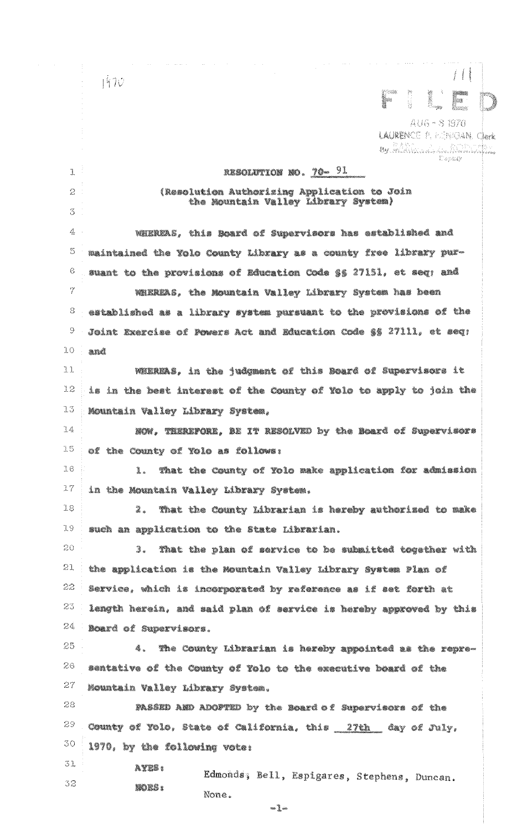$1470$ AUG - 3 1970 LAURENCE E. HENIGAN, Clerk By Steedy Constitution of the Company of the Company of the Company of the Company of the Company of the Company of the Company of the Company of the Company of the Company of the Company of the Company of the Company of t **Captaty** RESOLUTION NO. 70-91  $\mathbbm{1}$  $\bar{z}$ (Resolution Authorising Application to Join the Mountain Valley Library System)  $\mathbb{S}$ 4 WHEREAS, this Board of Supervisors has established and 5 maintained the Yolo County Library as a county free library pur- $\mathbb{G}% _{n}^{X}$ suant to the provisions of Education Code §§ 27151, et seq; and  $\gamma$ WHEREAS, the Mountain Valley Library System has been -8 established as a library system pursuant to the provisions of the  $\Theta$ Joint Exercise of Powers Act and Education Code §§ 27111, et seq:  $10$ anê  $77$ WHEREAS, in the judgment of this Board of Supervisors it  $12$ is in the best interest of the County of Yolo to apply to join the 13 Mountain Valley Library System,  $14$ NOW, THEREFORE, BE IT RESOLVED by the Board of Supervisors 15 of the County of Yolo as follows: 16 1. That the County of Yolo make application for admission 17 in the Mountain Valley Library System.  $lR$ That the County Librarian is hereby authorized to make ä. 19 such an application to the State Librarian. 20 That the plan of service to be submitted together with 3. 21 the application is the Mountain Valley Library System Plan of 22 Service, which is incorporated by reference as if set forth at 23 length herein, and said plan of service is hereby approved by this 24 Board of Supervisors. 25 The County Librarian is hereby appointed as the repre-4. 26 sentative of the County of Yolo to the executive board of the 27 Mountain Valley Library System. 28 PASSED AND ADOPTED by the Board of Supervisors of the 29 County of Yolo, State of California, this \_\_27th \_\_ day of July, 30 1970, by the following vote: 31 AYES: Edmonds; Bell, Espigares, Stephens, Duncan. 32 **MOES:** 

i<br>Heriotzak<br>Heriotzak

 $\approx \frac{1}{4}$ 

None.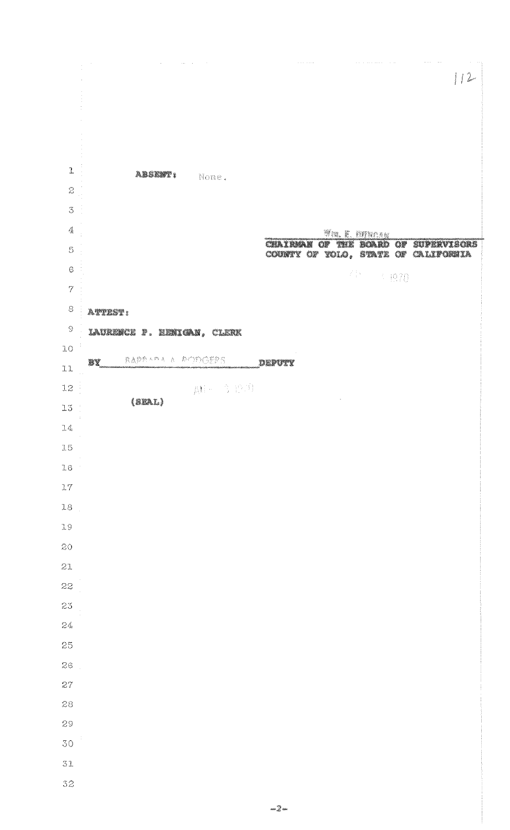